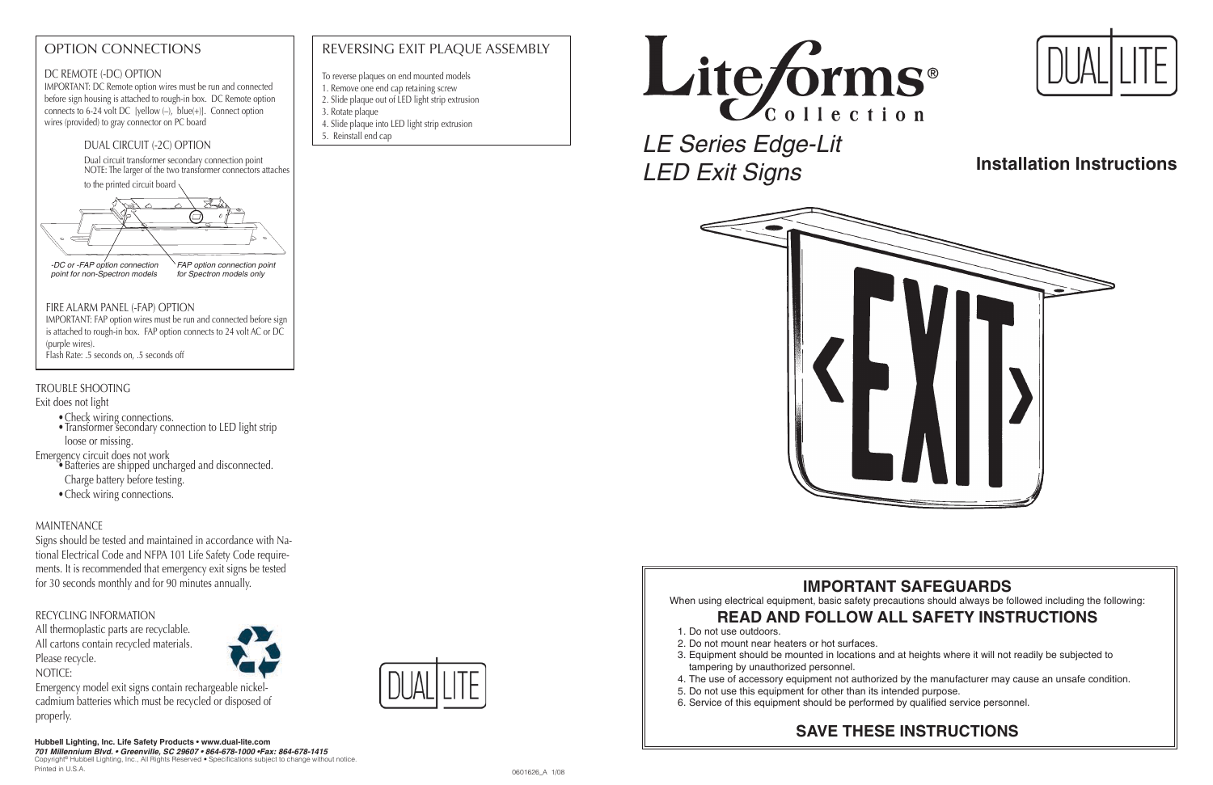*LE Series Edge-Lit LED Exit Signs*



# **IMPORTANT SAFEGUARDS**

When using electrical equipment, basic safety precautions should always be followed including the following:

# **READ AND FOLLOW ALL SAFETY INSTRUCTIONS**

3. Equipment should be mounted in locations and at heights where it will not readily be subjected to

- 1. Do not use outdoors.
- 2. Do not mount near heaters or hot surfaces.
- tampering by unauthorized personnel.
- 
- 5. Do not use this equipment for other than its intended purpose.
- 6. Service of this equipment should be performed by qualified service personnel.

4. The use of accessory equipment not authorized by the manufacturer may cause an unsafe condition.

- Check wiring connections.
- $\bullet$  Iransformer secondary connection to LED light strip loose or missing.

# **SAVE THESE INSTRUCTIONS**



### DC REMOTE (-DC) OPTION

IMPORTANT: DC Remote option wires must be run and connected before sign housing is attached to rough-in box. DC Remote option connects to 6-24 volt DC [yellow (–), blue(+)]. Connect option wires (provided) to gray connector on PC board

Copyright© Hubbell Lighting, Inc., All Rights Reserved • Specifications subject to change without notice. Printed in U.S.A. 6601626\_A 1/08 (1/08) 1/2 and 1/08 (1/08) 1/2 and 1/08 (1/08) 1/2 and 1/08 (1/08) 1/1 and 1/08 (1/08) 1/1 and 1/08 (1/08) 1/1 and 1/08 (1/08) 1/1 and 1/08 (1/08) 1/1 and 1/1 and 1/1 and 1/1 and 1/1 and 1/

# OPTION CONNECTIONS  $\parallel$  REVERSING EXIT PLAQUE ASSEMBLY

# TROUBLE SHOOTING

Exit does not light

Emergency circuit does not work

- Batteries are shipped uncharged and disconnected. Charge battery before testing.
	- Check wiring connections.

## MAINTENANCE

Signs should be tested and maintained in accordance with National Electrical Code and NFPA 101 Life Safety Code requirements. It is recommended that emergency exit signs be tested for 30 seconds monthly and for 90 minutes annually.

### RECYCLING INFORMATION

All thermoplastic parts are recyclable. All cartons contain recycled materials. Please recycle.

NOTICE:

Emergency model exit signs contain rechargeable nickelcadmium batteries which must be recycled or disposed of properly.

**Hubbell Lighting, Inc. Life Safety Products • www.dual-lite.com 701 Millennium Blvd. • Greenville, SC 29607 • 864-678-1000 •Fax: 864-678-1415**

### DUAL CIRCUIT (-2C) OPTION

Dual circuit transformer secondary connection point NOTE: The larger of the two transformer connectors attaches

to the printed circuit board

### FIRE ALARM PANEL (-FAP) OPTION

IMPORTANT: FAP option wires must be run and connected before sign is attached to rough-in box. FAP option connects to 24 volt AC or DC (purple wires). Flash Rate: .5 seconds on, .5 seconds off



# **Installation Instructions**

- To reverse plaques on end mounted models
- 1. Remove one end cap retaining screw
- 2. Slide plaque out of LED light strip extrusion
- 3. Rotate plaque
- 4. Slide plaque into LED light strip extrusion
- 5. Reinstall end cap